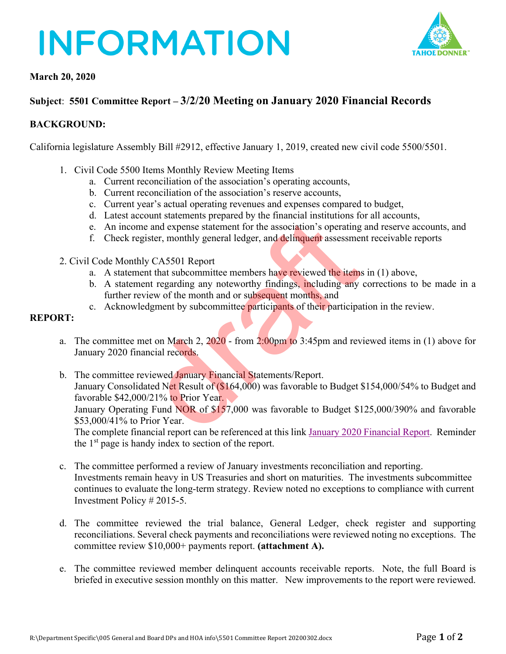## **INFORMATION**



## **March 20, 2020**

## **Subject**: **5501 Committee Report – 3/2/20 Meeting on January 2020 Financial Records**

## **BACKGROUND:**

California legislature Assembly Bill #2912, effective January 1, 2019, created new civil code 5500/5501.

- 1. Civil Code 5500 Items Monthly Review Meeting Items
	- a. Current reconciliation of the association's operating accounts,
	- b. Current reconciliation of the association's reserve accounts,
	- c. Current year's actual operating revenues and expenses compared to budget,
	- d. Latest account statements prepared by the financial institutions for all accounts,
	- e. An income and expense statement for the association's operating and reserve accounts, and
	- f. Check register, monthly general ledger, and delinquent assessment receivable reports
- 2. Civil Code Monthly CA5501 Report
	- a. A statement that subcommittee members have reviewed the items in (1) above,
	- b. A statement regarding any noteworthy findings, including any corrections to be made in a further review of the month and or subsequent months, and
	- c. Acknowledgment by subcommittee participants of their participation in the review.

### **REPORT:**

- a. The committee met on March 2, 2020 from 2:00pm to 3:45pm and reviewed items in (1) above for January 2020 financial records.
- b. The committee reviewed January Financial Statements/Report. January Consolidated Net Result of (\$164,000) was favorable to Budget \$154,000/54% to Budget and favorable \$42,000/21% to Prior Year. January Operating Fund NOR of \$157,000 was favorable to Budget \$125,000/390% and favorable \$53,000/41% to Prior Year. between the method of this link Islamary 2020<br>we and expense statement for the association's operating<br>ister, monthly general ledger, and delinquent assessme<br>we CA5501 Report<br>that subcommittee members have reviewed the ite

The complete financial report can be referenced at this link January 2020 [Financial Report.](https://cdn1.tahoedonner.com/wp-content/uploads/2020/02/21170517/2020-01-Financial-Packet.pdf) Reminder the  $1<sup>st</sup>$  page is handy index to section of the report.

- c. The committee performed a review of January investments reconciliation and reporting. Investments remain heavy in US Treasuries and short on maturities. The investments subcommittee continues to evaluate the long-term strategy. Review noted no exceptions to compliance with current Investment Policy # 2015-5.
- d. The committee reviewed the trial balance, General Ledger, check register and supporting reconciliations. Several check payments and reconciliations were reviewed noting no exceptions. The committee review \$10,000+ payments report. **(attachment A).**
- e. The committee reviewed member delinquent accounts receivable reports. Note, the full Board is briefed in executive session monthly on this matter. New improvements to the report were reviewed.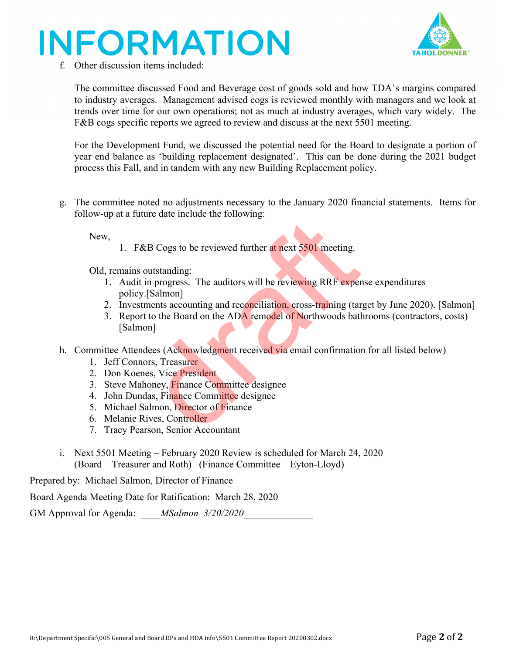# **INFORMATION**



f. Other discussion items included:

The committee discussed Food and Beverage cost of goods sold and how TDA's margins compared to industry averages. Management advised cogs is reviewed monthly with managers and we look at trends over time for our own operations; not as much at industry averages, which vary widely. The F&B cogs specific reports we agreed to review and discuss at the next 5501 meeting.

For the Development Fund, we discussed the potential need for the Board to designate a portion of year end balance as 'building replacement designated'. This can be done during the 2021 budget process this Fall, and in tandem with any new Building Replacement policy.

g. The committee noted no adjustments necessary to the January 2020 financial statements. Items for follow-up at a future date include the following:

New,

1. F&B Cogs to be reviewed further at next 5501 meeting.

Old, remains outstanding:

- 1. Audit in progress. The auditors will be reviewing RRF expense expenditures policy.[Salmon]
- 2. Investments accounting and reconciliation, cross-training (target by June 2020). [Salmon]
- 3. Report to the Board on the ADA remodel of Northwoods bathrooms (contractors, costs) [Salmon] 2.5 Determined the state and set of the set of the set of the solel meeting.<br>
2.8 Cogs to be reviewed further at next 5501 meeting.<br>
2.1 Salmon]<br>
2.1 Salmon]<br>
2.1 Salmon]<br>
2.1 Salmon<br>
2.1 Salmon<br>
2.1 Salmon<br>
2.1 Salmon<br>
2.
- h. Committee Attendees (Acknowledgment received via email confirmation for all listed below)
	- 1. Jeff Connors, Treasurer
	- 2. Don Koenes, Vice President
	- 3. Steve Mahoney, Finance Committee designee
	- 4. John Dundas, Finance Committee designee
	- 5. Michael Salmon, Director of Finance
	- 6. Melanie Rives, Controller
	- 7. Tracy Pearson, Senior Accountant
- i. Next 5501 Meeting February 2020 Review is scheduled for March 24, 2020 (Board – Treasurer and Roth) (Finance Committee – Eyton-Lloyd)

Prepared by: Michael Salmon, Director of Finance

Board Agenda Meeting Date for Ratification: March 28, 2020

GM Approval for Agenda: *MSalmon 3/20/2020*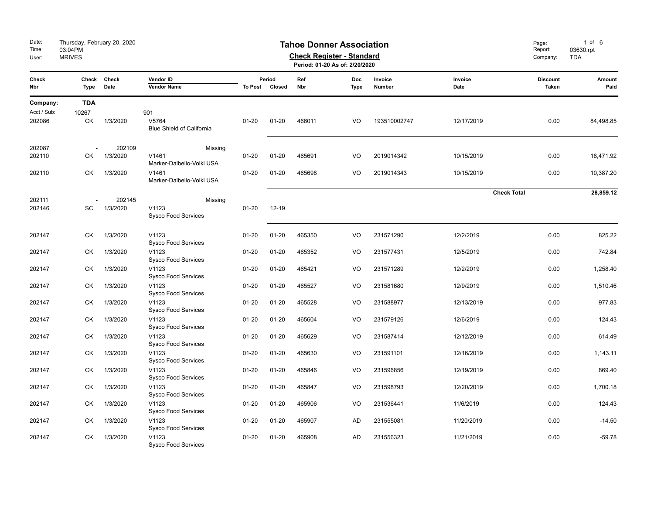| Date:<br>Time:<br>User: | Thursday, February 20, 2020<br>03:04PM<br><b>MRIVES</b> |                    | Page:<br>Report:<br>Company:              | $1$ of $6$<br>03630.rpt<br><b>TDA</b> |                          |        |                    |                   |                    |                          |                |
|-------------------------|---------------------------------------------------------|--------------------|-------------------------------------------|---------------------------------------|--------------------------|--------|--------------------|-------------------|--------------------|--------------------------|----------------|
| Check<br>Nbr            | Check<br>Type                                           | Check<br>Date      | Vendor ID<br><b>Vendor Name</b>           |                                       | Period<br>To Post Closed |        | Doc<br><b>Type</b> | Invoice<br>Number | Invoice<br>Date    | <b>Discount</b><br>Taken | Amount<br>Paid |
| Company:                | <b>TDA</b>                                              |                    |                                           |                                       |                          |        |                    |                   |                    |                          |                |
| Acct / Sub:             | 10267                                                   |                    | 901                                       |                                       |                          |        |                    |                   |                    |                          |                |
| 202086                  | СK                                                      | 1/3/2020           | V5764<br><b>Blue Shield of California</b> | $01 - 20$                             | $01 - 20$                | 466011 | VO                 | 193510002747      | 12/17/2019         | 0.00                     | 84,498.85      |
| 202087                  |                                                         | 202109             |                                           | Missing                               |                          |        |                    |                   |                    |                          |                |
| 202110                  | СK                                                      | 1/3/2020           | V1461<br>Marker-Dalbello-Volkl USA        | $01 - 20$                             | $01 - 20$                | 465691 | VO                 | 2019014342        | 10/15/2019         | 0.00                     | 18,471.92      |
| 202110                  | СK                                                      | 1/3/2020           | V1461<br>Marker-Dalbello-Volkl USA        | $01 - 20$                             | $01 - 20$                | 465698 | VO                 | 2019014343        | 10/15/2019         | 0.00                     | 10,387.20      |
|                         |                                                         |                    |                                           |                                       |                          |        |                    |                   | <b>Check Total</b> |                          | 28,859.12      |
| 202111<br>202146        | SC                                                      | 202145<br>1/3/2020 | V1123<br><b>Sysco Food Services</b>       | Missing<br>$01 - 20$                  | 12-19                    |        |                    |                   |                    |                          |                |
| 202147                  | <b>CK</b>                                               | 1/3/2020           | V1123<br><b>Sysco Food Services</b>       | $01 - 20$                             | $01 - 20$                | 465350 | VO                 | 231571290         | 12/2/2019          | 0.00                     | 825.22         |
| 202147                  | СK                                                      | 1/3/2020           | V1123<br><b>Sysco Food Services</b>       | $01 - 20$                             | $01 - 20$                | 465352 | V <sub>O</sub>     | 231577431         | 12/5/2019          | 0.00                     | 742.84         |
| 202147                  | <b>CK</b>                                               | 1/3/2020           | V1123<br><b>Sysco Food Services</b>       | $01 - 20$                             | $01 - 20$                | 465421 | VO                 | 231571289         | 12/2/2019          | 0.00                     | 1,258.40       |
| 202147                  | <b>CK</b>                                               | 1/3/2020           | V1123<br><b>Sysco Food Services</b>       | $01 - 20$                             | $01 - 20$                | 465527 | VO                 | 231581680         | 12/9/2019          | 0.00                     | 1,510.46       |
| 202147                  | <b>CK</b>                                               | 1/3/2020           | V1123<br><b>Sysco Food Services</b>       | $01 - 20$                             | $01 - 20$                | 465528 | VO                 | 231588977         | 12/13/2019         | 0.00                     | 977.83         |
| 202147                  | <b>CK</b>                                               | 1/3/2020           | V1123<br><b>Sysco Food Services</b>       | $01 - 20$                             | $01 - 20$                | 465604 | VO                 | 231579126         | 12/6/2019          | 0.00                     | 124.43         |
| 202147                  | <b>CK</b>                                               | 1/3/2020           | V1123<br><b>Sysco Food Services</b>       | $01 - 20$                             | $01 - 20$                | 465629 | VO                 | 231587414         | 12/12/2019         | 0.00                     | 614.49         |
| 202147                  | СK                                                      | 1/3/2020           | V1123<br><b>Sysco Food Services</b>       | $01 - 20$                             | $01 - 20$                | 465630 | VO                 | 231591101         | 12/16/2019         | 0.00                     | 1,143.11       |
| 202147                  | <b>CK</b>                                               | 1/3/2020           | V1123<br><b>Sysco Food Services</b>       | $01 - 20$                             | $01 - 20$                | 465846 | VO                 | 231596856         | 12/19/2019         | 0.00                     | 869.40         |
| 202147                  | СK                                                      | 1/3/2020           | V1123<br><b>Sysco Food Services</b>       | $01 - 20$                             | $01 - 20$                | 465847 | VO                 | 231598793         | 12/20/2019         | 0.00                     | 1,700.18       |
| 202147                  | СK                                                      | 1/3/2020           | V1123<br><b>Sysco Food Services</b>       | $01 - 20$                             | $01 - 20$                | 465906 | VO                 | 231536441         | 11/6/2019          | 0.00                     | 124.43         |
| 202147                  | <b>CK</b>                                               | 1/3/2020           | V1123<br><b>Sysco Food Services</b>       | $01 - 20$                             | $01 - 20$                | 465907 | <b>AD</b>          | 231555081         | 11/20/2019         | 0.00                     | $-14.50$       |
| 202147                  | <b>CK</b>                                               | 1/3/2020           | V1123<br><b>Sysco Food Services</b>       | $01 - 20$                             | $01 - 20$                | 465908 | <b>AD</b>          | 231556323         | 11/21/2019         | 0.00                     | $-59.78$       |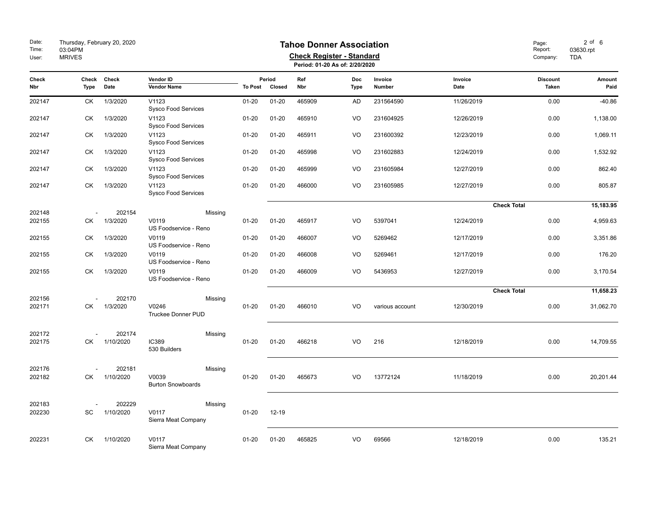| Date:<br>Time:<br>User: | Thursday, February 20, 2020<br>03:04PM<br><b>MRIVES</b> |                     |                                               | Page:<br>Report:<br>Company: | $2$ of $6$<br>03630.rpt<br><b>TDA</b> |            |                           |                   |                    |                                 |                |
|-------------------------|---------------------------------------------------------|---------------------|-----------------------------------------------|------------------------------|---------------------------------------|------------|---------------------------|-------------------|--------------------|---------------------------------|----------------|
| Check<br>Nbr            | Check<br><b>Type</b>                                    | Check<br>Date       | Vendor ID<br><b>Vendor Name</b>               | To Post                      | Period<br>Closed                      | Ref<br>Nbr | <b>Doc</b><br><b>Type</b> | Invoice<br>Number | Invoice<br>Date    | <b>Discount</b><br><b>Taken</b> | Amount<br>Paid |
| 202147                  | CK                                                      | 1/3/2020            | V1123<br><b>Sysco Food Services</b>           | $01 - 20$                    | $01 - 20$                             | 465909     | <b>AD</b>                 | 231564590         | 11/26/2019         | 0.00                            | $-40.86$       |
| 202147                  | СK                                                      | 1/3/2020            | V1123<br>Sysco Food Services                  | $01 - 20$                    | $01 - 20$                             | 465910     | VO                        | 231604925         | 12/26/2019         | 0.00                            | 1,138.00       |
| 202147                  | СK                                                      | 1/3/2020            | V1123<br>Sysco Food Services                  | $01 - 20$                    | $01 - 20$                             | 465911     | VO                        | 231600392         | 12/23/2019         | 0.00                            | 1,069.11       |
| 202147                  | <b>CK</b>                                               | 1/3/2020            | V1123<br><b>Sysco Food Services</b>           | $01 - 20$                    | $01 - 20$                             | 465998     | VO                        | 231602883         | 12/24/2019         | 0.00                            | 1,532.92       |
| 202147                  | СK                                                      | 1/3/2020            | V1123<br><b>Sysco Food Services</b>           | $01 - 20$                    | $01 - 20$                             | 465999     | VO                        | 231605984         | 12/27/2019         | 0.00                            | 862.40         |
| 202147                  | СK                                                      | 1/3/2020            | V1123<br><b>Sysco Food Services</b>           | $01 - 20$                    | $01 - 20$                             | 466000     | VO                        | 231605985         | 12/27/2019         | 0.00                            | 805.87         |
|                         |                                                         |                     |                                               |                              |                                       |            |                           |                   | <b>Check Total</b> |                                 | 15,183.95      |
| 202148<br>202155        | СK                                                      | 202154<br>1/3/2020  | Missing<br>V0119<br>US Foodservice - Reno     | $01 - 20$                    | $01 - 20$                             | 465917     | VO                        | 5397041           | 12/24/2019         | 0.00                            | 4,959.63       |
| 202155                  | СK                                                      | 1/3/2020            | V0119<br>US Foodservice - Reno                | $01 - 20$                    | $01 - 20$                             | 466007     | VO                        | 5269462           | 12/17/2019         | 0.00                            | 3,351.86       |
| 202155                  | <b>CK</b>                                               | 1/3/2020            | V0119<br>US Foodservice - Reno                | $01 - 20$                    | $01 - 20$                             | 466008     | VO                        | 5269461           | 12/17/2019         | 0.00                            | 176.20         |
| 202155                  | СK                                                      | 1/3/2020            | V0119<br>US Foodservice - Reno                | $01 - 20$                    | $01 - 20$                             | 466009     | VO                        | 5436953           | 12/27/2019         | 0.00                            | 3,170.54       |
|                         |                                                         |                     |                                               |                              |                                       |            |                           |                   | <b>Check Total</b> |                                 | 11,658.23      |
| 202156<br>202171        | СK                                                      | 202170<br>1/3/2020  | Missing<br>V0246<br><b>Truckee Donner PUD</b> | $01 - 20$                    | $01 - 20$                             | 466010     | VO                        | various account   | 12/30/2019         | 0.00                            | 31,062.70      |
| 202172<br>202175        | СK                                                      | 202174<br>1/10/2020 | Missing<br><b>IC389</b><br>530 Builders       | $01 - 20$                    | $01 - 20$                             | 466218     | VO                        | 216               | 12/18/2019         | 0.00                            | 14,709.55      |
| 202176<br>202182        | СK                                                      | 202181<br>1/10/2020 | Missing<br>V0039<br><b>Burton Snowboards</b>  | $01 - 20$                    | $01 - 20$                             | 465673     | VO                        | 13772124          | 11/18/2019         | 0.00                            | 20,201.44      |
| 202183<br>202230        | SC                                                      | 202229<br>1/10/2020 | Missing<br>V0117<br>Sierra Meat Company       | $01 - 20$                    | $12 - 19$                             |            |                           |                   |                    |                                 |                |
| 202231                  | СK                                                      | 1/10/2020           | V0117<br>Sierra Meat Company                  | $01 - 20$                    | $01 - 20$                             | 465825     | VO                        | 69566             | 12/18/2019         | 0.00                            | 135.21         |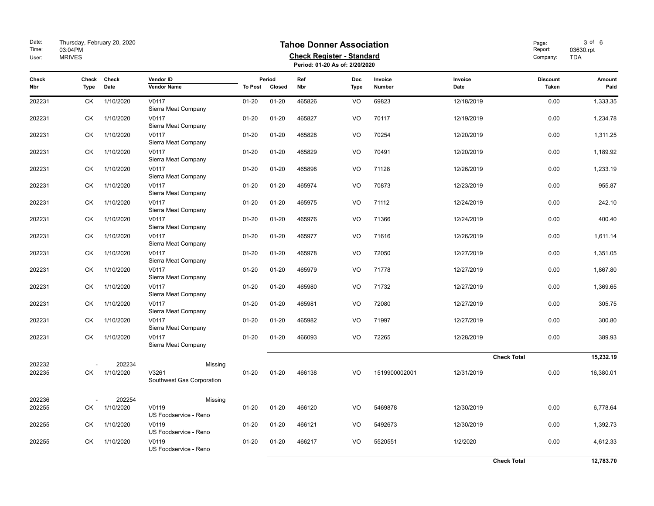| Date:<br>Time:<br>User: | Thursday, February 20, 2020<br>03:04PM<br><b>MRIVES</b> |               |                                    | Page:<br>Report:<br>Company: | 3 of 6<br>03630.rpt<br><b>TDA</b> |            |                           |                   |                    |                          |                |
|-------------------------|---------------------------------------------------------|---------------|------------------------------------|------------------------------|-----------------------------------|------------|---------------------------|-------------------|--------------------|--------------------------|----------------|
| Check<br>Nbr            | Check<br><b>Type</b>                                    | Check<br>Date | Vendor ID<br><b>Vendor Name</b>    | <b>To Post</b>               | Period<br>Closed                  | Ref<br>Nbr | <b>Doc</b><br><b>Type</b> | Invoice<br>Number | Invoice<br>Date    | <b>Discount</b><br>Taken | Amount<br>Paid |
| 202231                  | СK                                                      | 1/10/2020     | V0117<br>Sierra Meat Company       | $01 - 20$                    | $01 - 20$                         | 465826     | VO                        | 69823             | 12/18/2019         | 0.00                     | 1,333.35       |
| 202231                  | СK                                                      | 1/10/2020     | V0117<br>Sierra Meat Company       | $01 - 20$                    | $01 - 20$                         | 465827     | VO                        | 70117             | 12/19/2019         | 0.00                     | 1,234.78       |
| 202231                  | СK                                                      | 1/10/2020     | V0117<br>Sierra Meat Company       | $01 - 20$                    | $01 - 20$                         | 465828     | VO                        | 70254             | 12/20/2019         | 0.00                     | 1,311.25       |
| 202231                  | <b>CK</b>                                               | 1/10/2020     | V0117<br>Sierra Meat Company       | $01 - 20$                    | $01 - 20$                         | 465829     | VO                        | 70491             | 12/20/2019         | 0.00                     | 1,189.92       |
| 202231                  | <b>CK</b>                                               | 1/10/2020     | V0117<br>Sierra Meat Company       | $01 - 20$                    | $01 - 20$                         | 465898     | VO                        | 71128             | 12/26/2019         | 0.00                     | 1,233.19       |
| 202231                  | СK                                                      | 1/10/2020     | V0117<br>Sierra Meat Company       | $01 - 20$                    | $01 - 20$                         | 465974     | VO                        | 70873             | 12/23/2019         | 0.00                     | 955.87         |
| 202231                  | СK                                                      | 1/10/2020     | V0117<br>Sierra Meat Company       | $01 - 20$                    | $01 - 20$                         | 465975     | VO                        | 71112             | 12/24/2019         | 0.00                     | 242.10         |
| 202231                  | СK                                                      | 1/10/2020     | V0117<br>Sierra Meat Company       | $01 - 20$                    | $01 - 20$                         | 465976     | VO                        | 71366             | 12/24/2019         | 0.00                     | 400.40         |
| 202231                  | СK                                                      | 1/10/2020     | V0117<br>Sierra Meat Company       | $01 - 20$                    | $01 - 20$                         | 465977     | VO                        | 71616             | 12/26/2019         | 0.00                     | 1,611.14       |
| 202231                  | СK                                                      | 1/10/2020     | V0117<br>Sierra Meat Company       | $01 - 20$                    | $01 - 20$                         | 465978     | VO                        | 72050             | 12/27/2019         | 0.00                     | 1,351.05       |
| 202231                  | СK                                                      | 1/10/2020     | V0117<br>Sierra Meat Company       | $01 - 20$                    | $01 - 20$                         | 465979     | VO                        | 71778             | 12/27/2019         | 0.00                     | 1,867.80       |
| 202231                  | СK                                                      | 1/10/2020     | V0117<br>Sierra Meat Company       | $01 - 20$                    | $01 - 20$                         | 465980     | VO                        | 71732             | 12/27/2019         | 0.00                     | 1,369.65       |
| 202231                  | СK                                                      | 1/10/2020     | V0117<br>Sierra Meat Company       | $01 - 20$                    | $01 - 20$                         | 465981     | VO                        | 72080             | 12/27/2019         | 0.00                     | 305.75         |
| 202231                  | СK                                                      | 1/10/2020     | V0117<br>Sierra Meat Company       | $01 - 20$                    | $01 - 20$                         | 465982     | VO                        | 71997             | 12/27/2019         | 0.00                     | 300.80         |
| 202231                  | СK                                                      | 1/10/2020     | V0117<br>Sierra Meat Company       | $01 - 20$                    | $01 - 20$                         | 466093     | VO                        | 72265             | 12/28/2019         | 0.00                     | 389.93         |
| 202232                  |                                                         | 202234        | Missing                            |                              |                                   |            |                           |                   | <b>Check Total</b> |                          | 15,232.19      |
| 202235                  | СK                                                      | 1/10/2020     | V3261<br>Southwest Gas Corporation | $01 - 20$                    | $01 - 20$                         | 466138     | VO                        | 1519900002001     | 12/31/2019         | 0.00                     | 16,380.01      |
| 202236                  |                                                         | 202254        | Missing                            |                              |                                   |            |                           |                   |                    |                          |                |
| 202255                  | СK                                                      | 1/10/2020     | V0119<br>US Foodservice - Reno     | $01 - 20$                    | $01 - 20$                         | 466120     | VO                        | 5469878           | 12/30/2019         | 0.00                     | 6,778.64       |
| 202255                  | СK                                                      | 1/10/2020     | V0119<br>US Foodservice - Reno     | $01 - 20$                    | $01 - 20$                         | 466121     | VO                        | 5492673           | 12/30/2019         | 0.00                     | 1,392.73       |
| 202255                  | СK                                                      | 1/10/2020     | V0119<br>US Foodservice - Reno     | $01 - 20$                    | $01 - 20$                         | 466217     | VO                        | 5520551           | 1/2/2020           | 0.00                     | 4,612.33       |
|                         |                                                         |               |                                    |                              |                                   |            |                           |                   | <b>Check Total</b> |                          | 12,783.70      |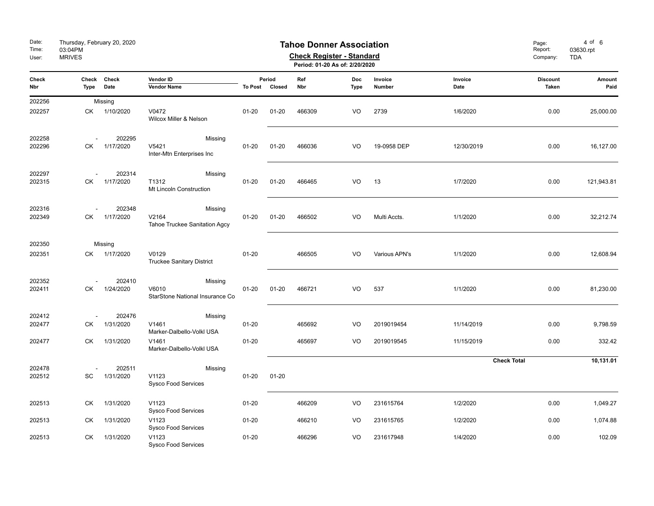| Date:<br>Time:<br>User: | Thursday, February 20, 2020<br>03:04PM<br><b>MRIVES</b> |                     |                                                     | Page:<br>Report:<br>Company:       | $4$ of $6$<br>03630.rpt<br><b>TDA</b> |            |                    |                   |                    |                                 |                |
|-------------------------|---------------------------------------------------------|---------------------|-----------------------------------------------------|------------------------------------|---------------------------------------|------------|--------------------|-------------------|--------------------|---------------------------------|----------------|
| Check<br>Nbr            | Check<br>Type                                           | Check<br>Date       | Vendor ID<br><b>Vendor Name</b>                     | Period<br><b>To Post</b><br>Closed |                                       | Ref<br>Nbr | Doc<br><b>Type</b> | Invoice<br>Number | Invoice<br>Date    | <b>Discount</b><br><b>Taken</b> | Amount<br>Paid |
| 202256                  | Missing                                                 |                     |                                                     |                                    |                                       |            |                    |                   |                    |                                 |                |
| 202257                  | СK                                                      | 1/10/2020           | V0472<br>Wilcox Miller & Nelson                     | $01 - 20$                          | $01 - 20$                             | 466309     | VO                 | 2739              | 1/6/2020           | 0.00                            | 25,000.00      |
| 202258<br>202296        | СK                                                      | 202295<br>1/17/2020 | Missing<br>V5421<br>Inter-Mtn Enterprises Inc       | $01 - 20$                          | $01 - 20$                             | 466036     | VO                 | 19-0958 DEP       | 12/30/2019         | 0.00                            | 16,127.00      |
| 202297<br>202315        | СK                                                      | 202314<br>1/17/2020 | Missing<br>T1312<br>Mt Lincoln Construction         | $01 - 20$                          | $01 - 20$                             | 466465     | VO                 | 13                | 1/7/2020           | 0.00                            | 121,943.81     |
| 202316<br>202349        | СK                                                      | 202348<br>1/17/2020 | Missing<br>V2164<br>Tahoe Truckee Sanitation Agcy   | $01 - 20$                          | $01 - 20$                             | 466502     | VO                 | Multi Accts.      | 1/1/2020           | 0.00                            | 32,212.74      |
| 202350                  |                                                         | Missing             |                                                     |                                    |                                       |            |                    |                   |                    |                                 |                |
| 202351                  | СK                                                      | 1/17/2020           | V0129<br><b>Truckee Sanitary District</b>           | $01 - 20$                          |                                       | 466505     | VO                 | Various APN's     | 1/1/2020           | 0.00                            | 12,608.94      |
| 202352<br>202411        | СK                                                      | 202410<br>1/24/2020 | Missing<br>V6010<br>StarStone National Insurance Co | $01 - 20$                          | $01 - 20$                             | 466721     | VO                 | 537               | 1/1/2020           | 0.00                            | 81,230.00      |
| 202412                  |                                                         | 202476              | Missing                                             |                                    |                                       |            |                    |                   |                    |                                 |                |
| 202477                  | СK                                                      | 1/31/2020           | V1461<br>Marker-Dalbello-Volkl USA                  | $01 - 20$                          |                                       | 465692     | VO                 | 2019019454        | 11/14/2019         | 0.00                            | 9,798.59       |
| 202477                  | СK                                                      | 1/31/2020           | V1461<br>Marker-Dalbello-Volkl USA                  | $01 - 20$                          |                                       | 465697     | VO                 | 2019019545        | 11/15/2019         | 0.00                            | 332.42         |
|                         |                                                         |                     |                                                     |                                    |                                       |            |                    |                   | <b>Check Total</b> |                                 | 10,131.01      |
| 202478<br>202512        | SC                                                      | 202511<br>1/31/2020 | Missing<br>V1123<br>Sysco Food Services             | $01 - 20$                          | $01 - 20$                             |            |                    |                   |                    |                                 |                |
| 202513                  | СK                                                      | 1/31/2020           | V1123<br><b>Sysco Food Services</b>                 | $01 - 20$                          |                                       | 466209     | VO                 | 231615764         | 1/2/2020           | 0.00                            | 1,049.27       |
| 202513                  | СK                                                      | 1/31/2020           | V1123<br><b>Sysco Food Services</b>                 | $01 - 20$                          |                                       | 466210     | VO                 | 231615765         | 1/2/2020           | 0.00                            | 1,074.88       |
| 202513                  | СK                                                      | 1/31/2020           | V1123<br><b>Sysco Food Services</b>                 | $01 - 20$                          |                                       | 466296     | VO                 | 231617948         | 1/4/2020           | 0.00                            | 102.09         |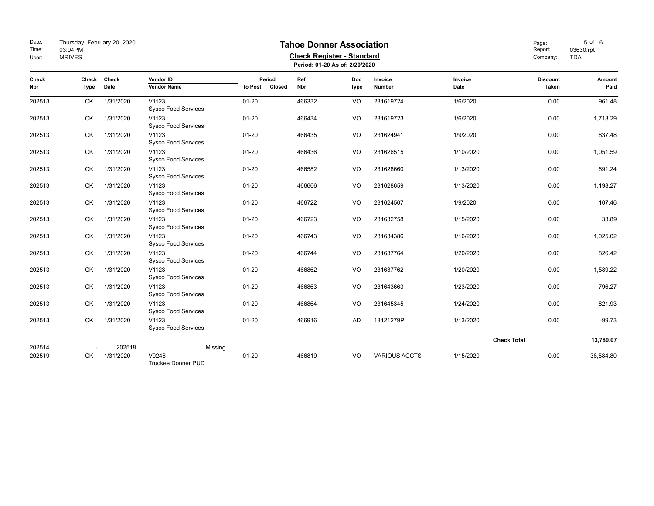| Date:<br>Time:<br>User: | Thursday, February 20, 2020<br>03:04PM<br><b>MRIVES</b> |                     |                                     | <b>Tahoe Donner Association</b><br><b>Check Register - Standard</b><br>Period: 01-20 As of: 2/20/2020 |            |                           |                      |                 |                            |                        |  |  |  |
|-------------------------|---------------------------------------------------------|---------------------|-------------------------------------|-------------------------------------------------------------------------------------------------------|------------|---------------------------|----------------------|-----------------|----------------------------|------------------------|--|--|--|
| Check<br>Nbr            | Check<br>Type                                           | Check<br>Date       | Vendor ID<br><b>Vendor Name</b>     | Period<br>Closed<br><b>To Post</b>                                                                    | Ref<br>Nbr | <b>Doc</b><br><b>Type</b> | Invoice<br>Number    | Invoice<br>Date | <b>Discount</b><br>Taken   | Amount<br>Paid         |  |  |  |
| 202513                  | СK                                                      | 1/31/2020           | V1123<br><b>Sysco Food Services</b> | $01 - 20$                                                                                             | 466332     | VO                        | 231619724            | 1/6/2020        | 0.00                       | 961.48                 |  |  |  |
| 202513                  | <b>CK</b>                                               | 1/31/2020           | V1123<br><b>Sysco Food Services</b> | $01 - 20$                                                                                             | 466434     | VO                        | 231619723            | 1/6/2020        | 0.00                       | 1,713.29               |  |  |  |
| 202513                  | СK                                                      | 1/31/2020           | V1123<br><b>Sysco Food Services</b> | $01 - 20$                                                                                             | 466435     | VO                        | 231624941            | 1/9/2020        | 0.00                       | 837.48                 |  |  |  |
| 202513                  | СK                                                      | 1/31/2020           | V1123<br><b>Sysco Food Services</b> | $01 - 20$                                                                                             | 466436     | VO                        | 231626515            | 1/10/2020       | 0.00                       | 1,051.59               |  |  |  |
| 202513                  | <b>CK</b>                                               | 1/31/2020           | V1123<br><b>Sysco Food Services</b> | $01 - 20$                                                                                             | 466582     | VO                        | 231628660            | 1/13/2020       | 0.00                       | 691.24                 |  |  |  |
| 202513                  | <b>CK</b>                                               | 1/31/2020           | V1123<br><b>Sysco Food Services</b> | $01 - 20$                                                                                             | 466666     | VO                        | 231628659            | 1/13/2020       | 0.00                       | 1,198.27               |  |  |  |
| 202513                  | СK                                                      | 1/31/2020           | V1123<br><b>Sysco Food Services</b> | $01 - 20$                                                                                             | 466722     | V <sub>O</sub>            | 231624507            | 1/9/2020        | 0.00                       | 107.46                 |  |  |  |
| 202513                  | СK                                                      | 1/31/2020           | V1123<br>Sysco Food Services        | $01 - 20$                                                                                             | 466723     | VO                        | 231632758            | 1/15/2020       | 0.00                       | 33.89                  |  |  |  |
| 202513                  | <b>CK</b>                                               | 1/31/2020           | V1123<br><b>Sysco Food Services</b> | $01 - 20$                                                                                             | 466743     | VO                        | 231634386            | 1/16/2020       | 0.00                       | 1,025.02               |  |  |  |
| 202513                  | <b>CK</b>                                               | 1/31/2020           | V1123<br><b>Sysco Food Services</b> | $01 - 20$                                                                                             | 466744     | VO                        | 231637764            | 1/20/2020       | 0.00                       | 826.42                 |  |  |  |
| 202513                  | СK                                                      | 1/31/2020           | V1123<br><b>Sysco Food Services</b> | $01 - 20$                                                                                             | 466862     | VO                        | 231637762            | 1/20/2020       | 0.00                       | 1,589.22               |  |  |  |
| 202513                  | СK                                                      | 1/31/2020           | V1123<br>Sysco Food Services        | $01 - 20$                                                                                             | 466863     | VO                        | 231643663            | 1/23/2020       | 0.00                       | 796.27                 |  |  |  |
| 202513                  | <b>CK</b>                                               | 1/31/2020           | V1123<br><b>Sysco Food Services</b> | $01 - 20$                                                                                             | 466864     | VO                        | 231645345            | 1/24/2020       | 0.00                       | 821.93                 |  |  |  |
| 202513                  | <b>CK</b>                                               | 1/31/2020           | V1123<br><b>Sysco Food Services</b> | $01 - 20$                                                                                             | 466916     | <b>AD</b>                 | 13121279P            | 1/13/2020       | 0.00                       | $-99.73$               |  |  |  |
| 202514<br>202519        | СK                                                      | 202518<br>1/31/2020 | V0246<br><b>Truckee Donner PUD</b>  | Missing<br>$01 - 20$                                                                                  | 466819     | V <sub>O</sub>            | <b>VARIOUS ACCTS</b> | 1/15/2020       | <b>Check Total</b><br>0.00 | 13,780.07<br>38,584.80 |  |  |  |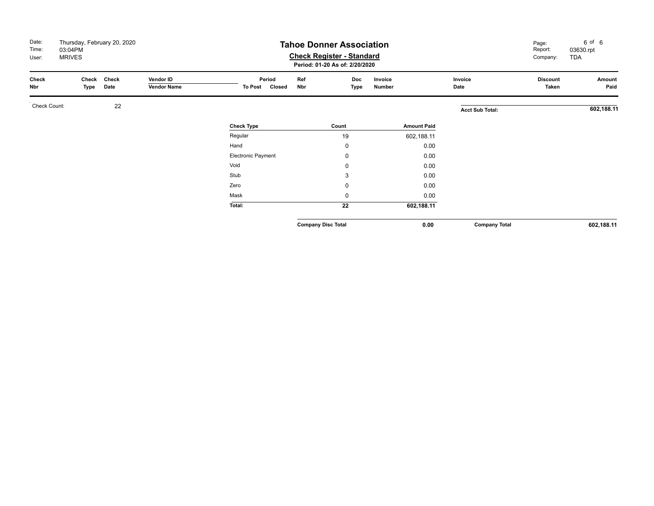| Date:<br>Time:<br>User: | Thursday, February 20, 2020<br>03:04PM<br><b>MRIVES</b> |               |                                 | <b>Tahoe Donner Association</b>    | Page:<br>Report:<br>Company: | 6 of 6<br>03630.rpt<br><b>TDA</b> |                   |                    |                        |                          |                |
|-------------------------|---------------------------------------------------------|---------------|---------------------------------|------------------------------------|------------------------------|-----------------------------------|-------------------|--------------------|------------------------|--------------------------|----------------|
| Check<br>Nbr            | Check<br>Type                                           | Check<br>Date | Vendor ID<br><b>Vendor Name</b> | Period<br><b>To Post</b><br>Closed | Ref<br>Nbr                   | Doc<br>Type                       | Invoice<br>Number |                    | Invoice<br>Date        | <b>Discount</b><br>Taken | Amount<br>Paid |
| Check Count:            |                                                         | 22            |                                 |                                    |                              |                                   |                   |                    | <b>Acct Sub Total:</b> |                          | 602,188.11     |
|                         |                                                         |               |                                 | <b>Check Type</b>                  |                              | Count                             |                   | <b>Amount Paid</b> |                        |                          |                |
|                         |                                                         |               |                                 | Regular                            |                              | 19                                |                   | 602,188.11         |                        |                          |                |
|                         |                                                         |               |                                 | Hand                               |                              | 0                                 |                   | 0.00               |                        |                          |                |
|                         |                                                         |               |                                 | Electronic Payment                 |                              | 0                                 |                   | 0.00               |                        |                          |                |
|                         |                                                         |               |                                 | Void                               |                              | 0                                 |                   | 0.00               |                        |                          |                |
|                         |                                                         |               |                                 | Stub                               |                              | 3                                 |                   | 0.00               |                        |                          |                |
|                         |                                                         |               |                                 | Zero                               |                              | 0                                 |                   | 0.00               |                        |                          |                |
|                         |                                                         |               |                                 | Mask                               |                              | 0                                 |                   | 0.00               |                        |                          |                |
|                         |                                                         |               |                                 | Total:                             |                              | 22                                |                   | 602,188.11         |                        |                          |                |
|                         |                                                         |               |                                 |                                    | <b>Company Disc Total</b>    |                                   |                   | 0.00               | <b>Company Total</b>   |                          | 602,188.11     |